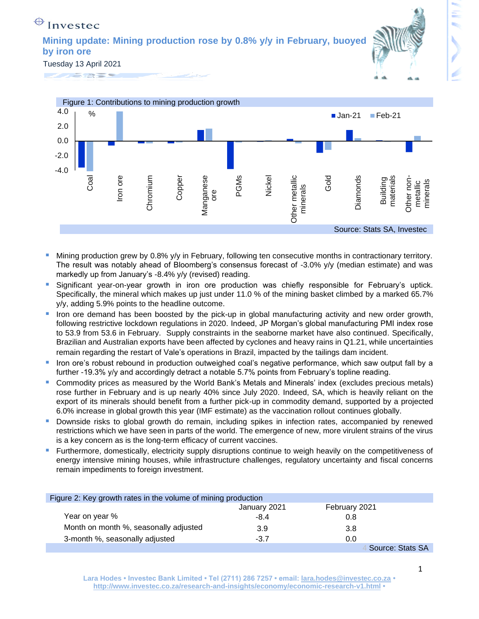## $\bigoplus$  Investec

**Mining update: Mining production rose by 0.8% y/y in February, buoyed by iron ore** 



Tuesday 13 April 2021





- Mining production grew by 0.8% y/y in February, following ten consecutive months in contractionary territory. The result was notably ahead of Bloomberg's consensus forecast of -3.0% y/y (median estimate) and was markedly up from January's -8.4% y/y (revised) reading.
- Significant year-on-year growth in iron ore production was chiefly responsible for February's uptick. Specifically, the mineral which makes up just under 11.0 % of the mining basket climbed by a marked 65.7% y/y, adding 5.9% points to the headline outcome.
- Iron ore demand has been boosted by the pick-up in global manufacturing activity and new order growth, following restrictive lockdown regulations in 2020. Indeed, JP Morgan's global manufacturing PMI index rose to 53.9 from 53.6 in February. Supply constraints in the seaborne market have also continued. Specifically, Brazilian and Australian exports have been affected by cyclones and heavy rains in Q1.21, while uncertainties remain regarding the restart of Vale's operations in Brazil, impacted by the tailings dam incident.
- Iron ore's robust rebound in production outweighed coal's negative performance, which saw output fall by a further -19.3% y/y and accordingly detract a notable 5.7% points from February's topline reading.
- Commodity prices as measured by the World Bank's Metals and Minerals' index (excludes precious metals) rose further in February and is up nearly 40% since July 2020. Indeed, SA, which is heavily reliant on the export of its minerals should benefit from a further pick-up in commodity demand, supported by a projected 6.0% increase in global growth this year (IMF estimate) as the vaccination rollout continues globally.
- Downside risks to global growth do remain, including spikes in infection rates, accompanied by renewed restrictions which we have seen in parts of the world. The emergence of new, more virulent strains of the virus is a key concern as is the long-term efficacy of current vaccines.
- **EXT** Furthermore, domestically, electricity supply disruptions continue to weigh heavily on the competitiveness of energy intensive mining houses, while infrastructure challenges, regulatory uncertainty and fiscal concerns remain impediments to foreign investment.

| Figure 2: Key growth rates in the volume of mining production |              |                  |  |
|---------------------------------------------------------------|--------------|------------------|--|
|                                                               | January 2021 | February 2021    |  |
| Year on year %                                                | $-8.4$       | 0.8              |  |
| Month on month %, seasonally adjusted                         | 3.9          | 3.8              |  |
| 3-month %, seasonally adjusted                                | $-3.7$       | 0.0              |  |
|                                                               |              | Source: Stats SA |  |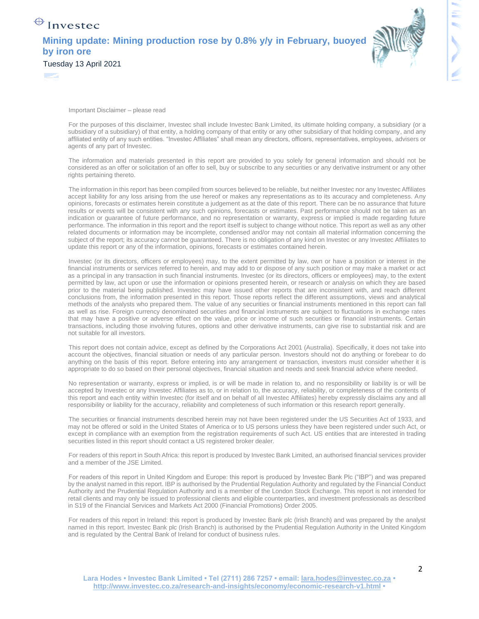## $\bigoplus$  Investec **Mining update: Mining production rose by 0.8% y/y in February, buoyed by iron ore**  Tuesday 13 April 2021



Important Disclaimer – please read

**September** 

For the purposes of this disclaimer, Investec shall include Investec Bank Limited, its ultimate holding company, a subsidiary (or a subsidiary of a subsidiary) of that entity, a holding company of that entity or any other subsidiary of that holding company, and any affiliated entity of any such entities. "Investec Affiliates" shall mean any directors, officers, representatives, employees, advisers or agents of any part of Investec.

The information and materials presented in this report are provided to you solely for general information and should not be considered as an offer or solicitation of an offer to sell, buy or subscribe to any securities or any derivative instrument or any other rights pertaining thereto.

The information in this report has been compiled from sources believed to be reliable, but neither Investec nor any Investec Affiliates accept liability for any loss arising from the use hereof or makes any representations as to its accuracy and completeness. Any opinions, forecasts or estimates herein constitute a judgement as at the date of this report. There can be no assurance that future results or events will be consistent with any such opinions, forecasts or estimates. Past performance should not be taken as an indication or guarantee of future performance, and no representation or warranty, express or implied is made regarding future performance. The information in this report and the report itself is subject to change without notice. This report as well as any other related documents or information may be incomplete, condensed and/or may not contain all material information concerning the subject of the report; its accuracy cannot be guaranteed. There is no obligation of any kind on Investec or any Investec Affiliates to update this report or any of the information, opinions, forecasts or estimates contained herein.

Investec (or its directors, officers or employees) may, to the extent permitted by law, own or have a position or interest in the financial instruments or services referred to herein, and may add to or dispose of any such position or may make a market or act as a principal in any transaction in such financial instruments. Investec (or its directors, officers or employees) may, to the extent permitted by law, act upon or use the information or opinions presented herein, or research or analysis on which they are based prior to the material being published. Investec may have issued other reports that are inconsistent with, and reach different conclusions from, the information presented in this report. Those reports reflect the different assumptions, views and analytical methods of the analysts who prepared them. The value of any securities or financial instruments mentioned in this report can fall as well as rise. Foreign currency denominated securities and financial instruments are subject to fluctuations in exchange rates that may have a positive or adverse effect on the value, price or income of such securities or financial instruments. Certain transactions, including those involving futures, options and other derivative instruments, can give rise to substantial risk and are not suitable for all investors.

This report does not contain advice, except as defined by the Corporations Act 2001 (Australia). Specifically, it does not take into account the objectives, financial situation or needs of any particular person. Investors should not do anything or forebear to do anything on the basis of this report. Before entering into any arrangement or transaction, investors must consider whether it is appropriate to do so based on their personal objectives, financial situation and needs and seek financial advice where needed.

No representation or warranty, express or implied, is or will be made in relation to, and no responsibility or liability is or will be accepted by Investec or any Investec Affiliates as to, or in relation to, the accuracy, reliability, or completeness of the contents of this report and each entity within Investec (for itself and on behalf of all Investec Affiliates) hereby expressly disclaims any and all responsibility or liability for the accuracy, reliability and completeness of such information or this research report generally.

The securities or financial instruments described herein may not have been registered under the US Securities Act of 1933, and may not be offered or sold in the United States of America or to US persons unless they have been registered under such Act, or except in compliance with an exemption from the registration requirements of such Act. US entities that are interested in trading securities listed in this report should contact a US registered broker dealer.

For readers of this report in South Africa: this report is produced by Investec Bank Limited, an authorised financial services provider and a member of the JSE Limited.

For readers of this report in United Kingdom and Europe: this report is produced by Investec Bank Plc ("IBP") and was prepared by the analyst named in this report. IBP is authorised by the Prudential Regulation Authority and regulated by the Financial Conduct Authority and the Prudential Regulation Authority and is a member of the London Stock Exchange. This report is not intended for retail clients and may only be issued to professional clients and eligible counterparties, and investment professionals as described in S19 of the Financial Services and Markets Act 2000 (Financial Promotions) Order 2005.

For readers of this report in Ireland: this report is produced by Investec Bank plc (Irish Branch) and was prepared by the analyst named in this report. Investec Bank plc (Irish Branch) is authorised by the Prudential Regulation Authority in the United Kingdom and is regulated by the Central Bank of Ireland for conduct of business rules.